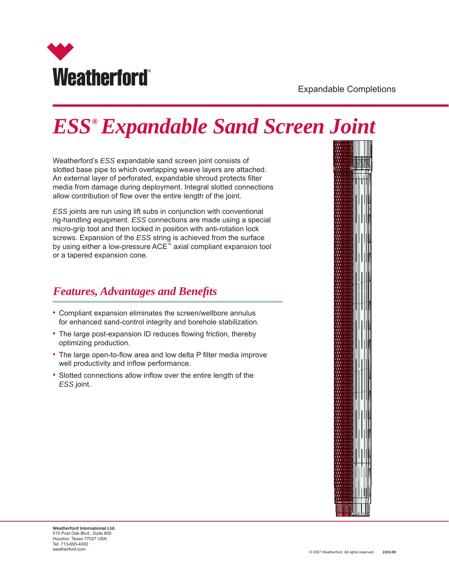

Expandable Completions

# *ESS® Expandable Sand Screen Joint*

Weatherford's *ESS* expandable sand screen joint consists of slotted base pipe to which overlapping weave layers are attached. An external layer of perforated, expandable shroud protects filter media from damage during deployment. Integral slotted connections allow contribution of flow over the entire length of the joint.

*ESS* joints are run using lift subs in conjunction with conventional rig-handling equipment. *ESS* connections are made using a special micro-grip tool and then locked in position with anti-rotation lock screws. Expansion of the *ESS* string is achieved from the surface by using either a low-pressure ACE™ axial compliant expansion tool or a tapered expansion cone.

### *Features, Advantages and Benefits*

- Compliant expansion eliminates the screen/wellbore annulus for enhanced sand-control integrity and borehole stabilization.
- The large post-expansion ID reduces flowing friction, thereby optimizing production.
- The large open-to-flow area and low delta P filter media improve well productivity and inflow performance.
- Slotted connections allow inflow over the entire length of the *ESS* joint.